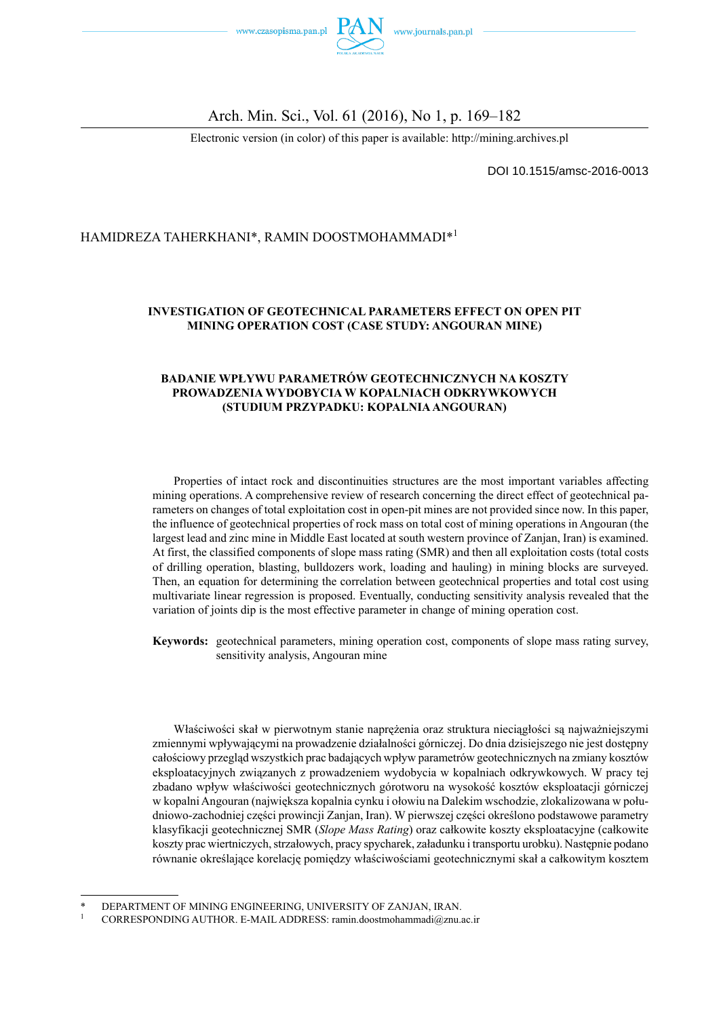

#### Arch. Min. Sci., Vol. 61 (2016), No 1, p. 169–182

Electronic version (in color) of this paper is available: http://mining.archives.pl

DOI 10.1515/amsc-2016-0013

#### HAMIDREZA TAHERKHANI\*, RAMIN DOOSTMOHAMMADI\*<sup>1</sup>

#### **INVESTIGATION OF GEOTECHNICAL PARAMETERS EFFECT ON OPEN PIT MINING OPERATION COST (CASE STUDY: ANGOURAN MINE)**

#### **BADANIE WPŁYWU PARAMETRÓW GEOTECHNICZNYCH NA KOSZTY PROWADZENIA WYDOBYCIA W KOPALNIACH ODKRYWKOWYCH (STUDIUM PRZYPADKU: KOPALNIA ANGOURAN)**

Properties of intact rock and discontinuities structures are the most important variables affecting mining operations. A comprehensive review of research concerning the direct effect of geotechnical parameters on changes of total exploitation cost in open-pit mines are not provided since now. In this paper, the influence of geotechnical properties of rock mass on total cost of mining operations in Angouran (the largest lead and zinc mine in Middle East located at south western province of Zanjan, Iran) is examined. At first, the classified components of slope mass rating (SMR) and then all exploitation costs (total costs of drilling operation, blasting, bulldozers work, loading and hauling) in mining blocks are surveyed. Then, an equation for determining the correlation between geotechnical properties and total cost using multivariate linear regression is proposed. Eventually, conducting sensitivity analysis revealed that the variation of joints dip is the most effective parameter in change of mining operation cost.

**Keywords:** geotechnical parameters, mining operation cost, components of slope mass rating survey, sensitivity analysis, Angouran mine

Właściwości skał w pierwotnym stanie naprężenia oraz struktura nieciągłości są najważniejszymi zmiennymi wpływającymi na prowadzenie działalności górniczej. Do dnia dzisiejszego nie jest dostępny całościowy przegląd wszystkich prac badających wpływ parametrów geotechnicznych na zmiany kosztów eksploatacyjnych związanych z prowadzeniem wydobycia w kopalniach odkrywkowych. W pracy tej zbadano wpływ właściwości geotechnicznych górotworu na wysokość kosztów eksploatacji górniczej w kopalni Angouran (największa kopalnia cynku i ołowiu na Dalekim wschodzie, zlokalizowana w południowo-zachodniej części prowincji Zanjan, Iran). W pierwszej części określono podstawowe parametry klasyfikacji geotechnicznej SMR (*Slope Mass Rating*) oraz całkowite koszty eksploatacyjne (całkowite koszty prac wiertniczych, strzałowych, pracy spycharek, załadunku i transportu urobku). Następnie podano równanie określające korelację pomiędzy właściwościami geotechnicznymi skał a całkowitym kosztem

DEPARTMENT OF MINING ENGINEERING, UNIVERSITY OF ZANJAN, IRAN.

<sup>1</sup> CORRESPONDING AUTHOR. E-MAIL ADDRESS: ramin.doostmohammadi@znu.ac.ir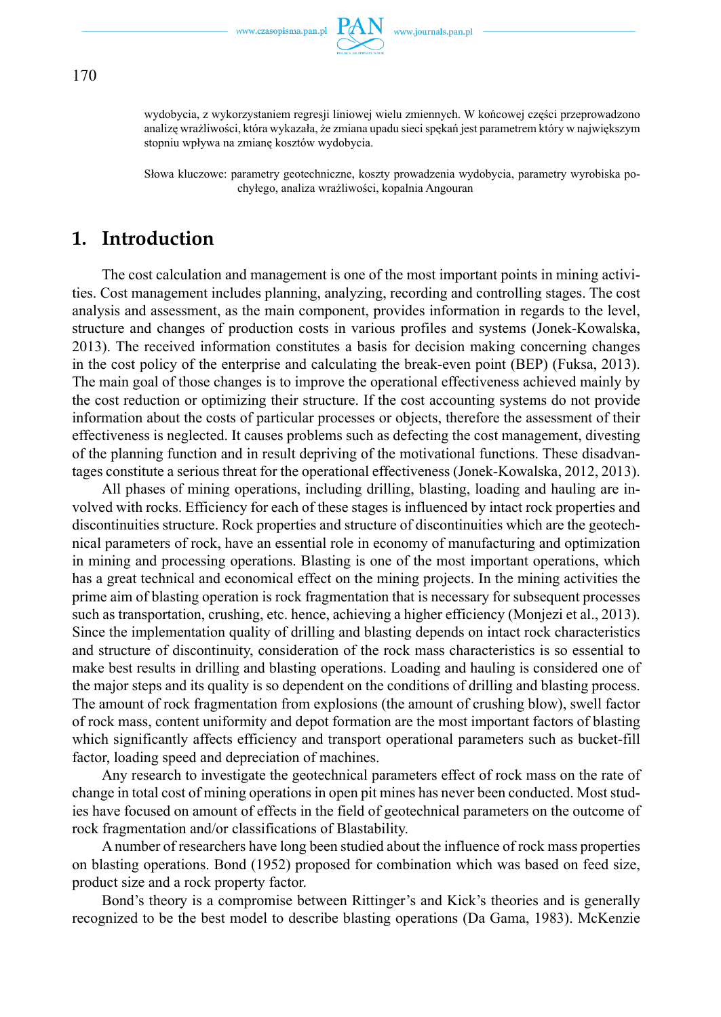

wydobycia, z wykorzystaniem regresji liniowej wielu zmiennych. W końcowej części przeprowadzono analizę wrażliwości, która wykazała, że zmiana upadu sieci spękań jest parametrem który w największym stopniu wpływa na zmianę kosztów wydobycia.

Słowa kluczowe: parametry geotechniczne, koszty prowadzenia wydobycia, parametry wyrobiska pochyłego, analiza wrażliwości, kopalnia Angouran

## **1. Introduction**

The cost calculation and management is one of the most important points in mining activities. Cost management includes planning, analyzing, recording and controlling stages. The cost analysis and assessment, as the main component, provides information in regards to the level, structure and changes of production costs in various profiles and systems (Jonek-Kowalska, 2013). The received information constitutes a basis for decision making concerning changes in the cost policy of the enterprise and calculating the break-even point (BEP) (Fuksa, 2013). The main goal of those changes is to improve the operational effectiveness achieved mainly by the cost reduction or optimizing their structure. If the cost accounting systems do not provide information about the costs of particular processes or objects, therefore the assessment of their effectiveness is neglected. It causes problems such as defecting the cost management, divesting of the planning function and in result depriving of the motivational functions. These disadvantages constitute a serious threat for the operational effectiveness (Jonek-Kowalska, 2012, 2013).

All phases of mining operations, including drilling, blasting, loading and hauling are involved with rocks. Efficiency for each of these stages is influenced by intact rock properties and discontinuities structure. Rock properties and structure of discontinuities which are the geotechnical parameters of rock, have an essential role in economy of manufacturing and optimization in mining and processing operations. Blasting is one of the most important operations, which has a great technical and economical effect on the mining projects. In the mining activities the prime aim of blasting operation is rock fragmentation that is necessary for subsequent processes such as transportation, crushing, etc. hence, achieving a higher efficiency (Monjezi et al., 2013). Since the implementation quality of drilling and blasting depends on intact rock characteristics and structure of discontinuity, consideration of the rock mass characteristics is so essential to make best results in drilling and blasting operations. Loading and hauling is considered one of the major steps and its quality is so dependent on the conditions of drilling and blasting process. The amount of rock fragmentation from explosions (the amount of crushing blow), swell factor of rock mass, content uniformity and depot formation are the most important factors of blasting which significantly affects efficiency and transport operational parameters such as bucket-fill factor, loading speed and depreciation of machines.

Any research to investigate the geotechnical parameters effect of rock mass on the rate of change in total cost of mining operations in open pit mines has never been conducted. Most studies have focused on amount of effects in the field of geotechnical parameters on the outcome of rock fragmentation and/or classifications of Blastability.

A number of researchers have long been studied about the influence of rock mass properties on blasting operations. Bond (1952) proposed for combination which was based on feed size, product size and a rock property factor.

Bond's theory is a compromise between Rittinger's and Kick's theories and is generally recognized to be the best model to describe blasting operations (Da Gama, 1983). McKenzie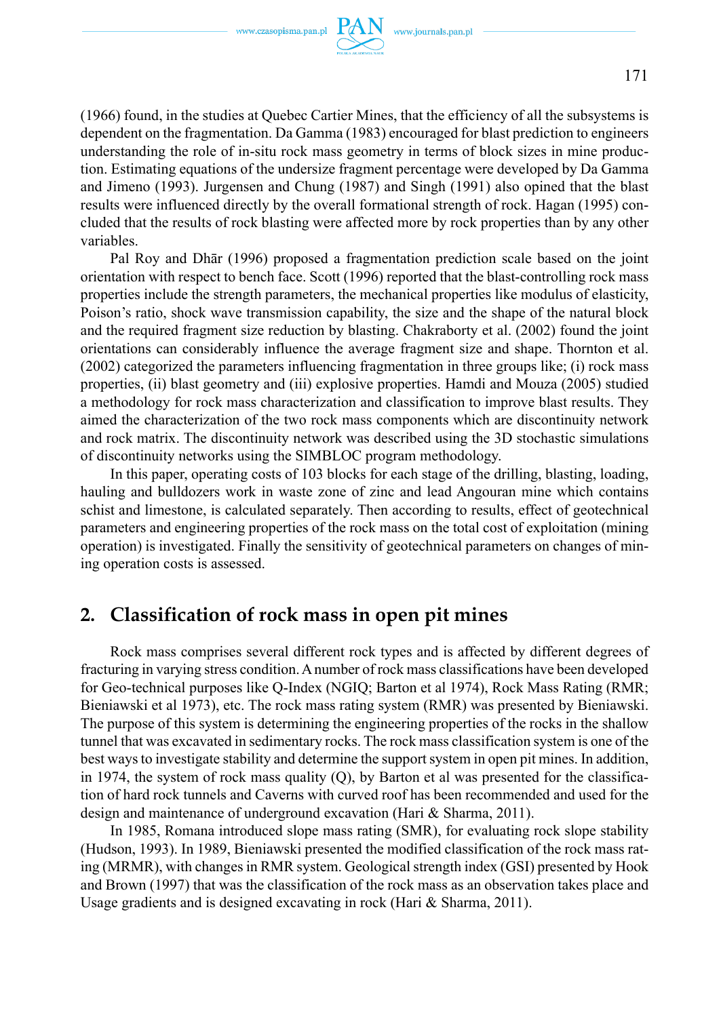

(1966) found, in the studies at Quebec Cartier Mines, that the efficiency of all the subsystems is dependent on the fragmentation. Da Gamma (1983) encouraged for blast prediction to engineers understanding the role of in-situ rock mass geometry in terms of block sizes in mine production. Estimating equations of the undersize fragment percentage were developed by Da Gamma and Jimeno (1993). Jurgensen and Chung (1987) and Singh (1991) also opined that the blast results were influenced directly by the overall formational strength of rock. Hagan (1995) concluded that the results of rock blasting were affected more by rock properties than by any other variables.

Pal Roy and Dhār (1996) proposed a fragmentation prediction scale based on the joint orientation with respect to bench face. Scott (1996) reported that the blast-controlling rock mass properties include the strength parameters, the mechanical properties like modulus of elasticity, Poison's ratio, shock wave transmission capability, the size and the shape of the natural block and the required fragment size reduction by blasting. Chakraborty et al. (2002) found the joint orientations can considerably influence the average fragment size and shape. Thornton et al. (2002) categorized the parameters influencing fragmentation in three groups like; (i) rock mass properties, (ii) blast geometry and (iii) explosive properties. Hamdi and Mouza (2005) studied a methodology for rock mass characterization and classification to improve blast results. They aimed the characterization of the two rock mass components which are discontinuity network and rock matrix. The discontinuity network was described using the 3D stochastic simulations of discontinuity networks using the SIMBLOC program methodology.

In this paper, operating costs of 103 blocks for each stage of the drilling, blasting, loading, hauling and bulldozers work in waste zone of zinc and lead Angouran mine which contains schist and limestone, is calculated separately. Then according to results, effect of geotechnical parameters and engineering properties of the rock mass on the total cost of exploitation (mining operation) is investigated. Finally the sensitivity of geotechnical parameters on changes of mining operation costs is assessed.

## **2. Classification of rock mass in open pit mines**

Rock mass comprises several different rock types and is affected by different degrees of fracturing in varying stress condition. A number of rock mass classifications have been developed for Geo-technical purposes like Q-Index (NGIQ; Barton et al 1974), Rock Mass Rating (RMR; Bieniawski et al 1973), etc. The rock mass rating system (RMR) was presented by Bieniawski. The purpose of this system is determining the engineering properties of the rocks in the shallow tunnel that was excavated in sedimentary rocks. The rock mass classification system is one of the best ways to investigate stability and determine the support system in open pit mines. In addition, in 1974, the system of rock mass quality (Q), by Barton et al was presented for the classification of hard rock tunnels and Caverns with curved roof has been recommended and used for the design and maintenance of underground excavation (Hari & Sharma, 2011).

In 1985, Romana introduced slope mass rating (SMR), for evaluating rock slope stability (Hudson, 1993). In 1989, Bieniawski presented the modified classification of the rock mass rating (MRMR), with changes in RMR system. Geological strength index (GSI) presented by Hook and Brown (1997) that was the classification of the rock mass as an observation takes place and Usage gradients and is designed excavating in rock (Hari & Sharma, 2011).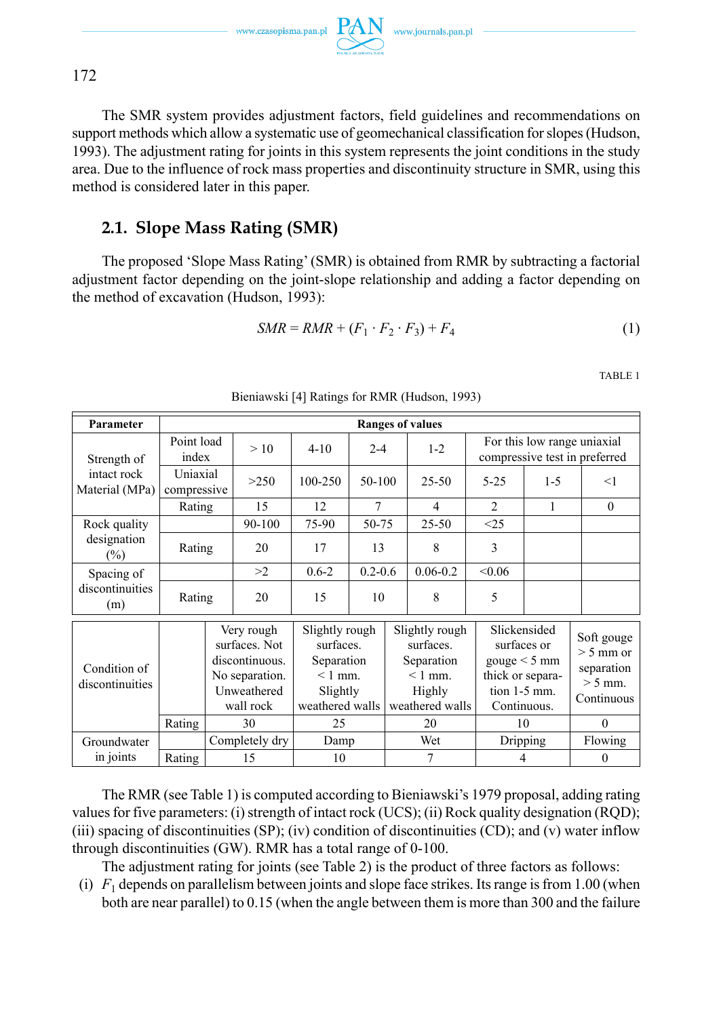$\text{www.czasopisma.pan.pl}\ \underset{\text{C}}{\text{PAN}}\ \ \text{www.journals.pan.pl}$ 

The SMR system provides adjustment factors, field guidelines and recommendations on support methods which allow a systematic use of geomechanical classification for slopes (Hudson, 1993). The adjustment rating for joints in this system represents the joint conditions in the study area. Due to the influence of rock mass properties and discontinuity structure in SMR, using this method is considered later in this paper.

## **2.1. Slope Mass Rating (SMR)**

The proposed 'Slope Mass Rating' (SMR) is obtained from RMR by subtracting a factorial adjustment factor depending on the joint-slope relationship and adding a factor depending on the method of excavation (Hudson, 1993):

$$
SMR = RMR + (F_1 \cdot F_2 \cdot F_3) + F_4 \tag{1}
$$

TABLE 1

| Parameter                       |                         |  |                                                                                             |                                                                                       |             |    | <b>Ranges of values</b>                                                            |                |                                                                                                  |                                                                                |         |
|---------------------------------|-------------------------|--|---------------------------------------------------------------------------------------------|---------------------------------------------------------------------------------------|-------------|----|------------------------------------------------------------------------------------|----------------|--------------------------------------------------------------------------------------------------|--------------------------------------------------------------------------------|---------|
| Strength of                     | Point load<br>index     |  | >10                                                                                         | $4 - 10$<br>$2 - 4$                                                                   |             |    | $1 - 2$                                                                            |                | For this low range uniaxial<br>compressive test in preferred                                     |                                                                                |         |
| intact rock<br>Material (MPa)   | Uniaxial<br>compressive |  | >250                                                                                        | 100-250                                                                               | 50-100      |    | $25 - 50$                                                                          | $5 - 25$       | $1 - 5$                                                                                          | $<$ 1                                                                          |         |
|                                 | Rating                  |  | 15                                                                                          | 12                                                                                    | 7           |    | 4                                                                                  | 2              | 1                                                                                                | $\theta$                                                                       |         |
| Rock quality                    |                         |  | $90 - 100$                                                                                  | 75-90                                                                                 | 50-75       |    | $25 - 50$                                                                          | < 25           |                                                                                                  |                                                                                |         |
| designation<br>$(\%)$           | Rating                  |  | 20                                                                                          | 17                                                                                    | 13          |    | 8                                                                                  | $\overline{3}$ |                                                                                                  |                                                                                |         |
| Spacing of                      |                         |  | >2                                                                                          | $0.6 - 2$                                                                             | $0.2 - 0.6$ |    | $0.06 - 0.2$                                                                       | <0.06          |                                                                                                  |                                                                                |         |
| discontinuities<br>(m)          | Rating                  |  | 20                                                                                          | 15                                                                                    | 10          |    | 8                                                                                  | 5              |                                                                                                  |                                                                                |         |
| Condition of<br>discontinuities |                         |  | Very rough<br>surfaces. Not<br>discontinuous.<br>No separation.<br>Unweathered<br>wall rock | Slightly rough<br>surfaces.<br>Separation<br>$< 1$ mm.<br>Slightly<br>weathered walls |             |    | Slightly rough<br>surfaces<br>Separation<br>$< 1$ mm.<br>Highly<br>weathered walls |                | Slickensided<br>surfaces or<br>gauge < 5 mm<br>thick or separa-<br>tion $1-5$ mm.<br>Continuous. | Soft gouge<br>$> 5$ mm or<br>separation<br>$> 5$ mm.<br>Continuous<br>$\theta$ |         |
|                                 | Rating                  |  | 30                                                                                          | 25                                                                                    |             | 20 |                                                                                    |                | 10                                                                                               |                                                                                |         |
| Groundwater                     |                         |  | Completely dry                                                                              | Damp                                                                                  |             |    | Wet                                                                                |                | <b>Dripping</b>                                                                                  |                                                                                | Flowing |
| in joints                       | Rating                  |  | 15                                                                                          | 10                                                                                    |             | 7  |                                                                                    |                | 4                                                                                                |                                                                                |         |

Bieniawski [4] Ratings for RMR (Hudson, 1993)

The RMR (see Table 1) is computed according to Bieniawski's 1979 proposal, adding rating values for five parameters: (i) strength of intact rock (UCS); (ii) Rock quality designation (RQD); (iii) spacing of discontinuities  $(SP)$ ; (iv) condition of discontinuities  $(CD)$ ; and (v) water inflow through discontinuities (GW). RMR has a total range of 0-100.

The adjustment rating for joints (see Table 2) is the product of three factors as follows:

(i)  $F_1$  depends on parallelism between joints and slope face strikes. Its range is from 1.00 (when both are near parallel) to 0.15 (when the angle between them is more than 300 and the failure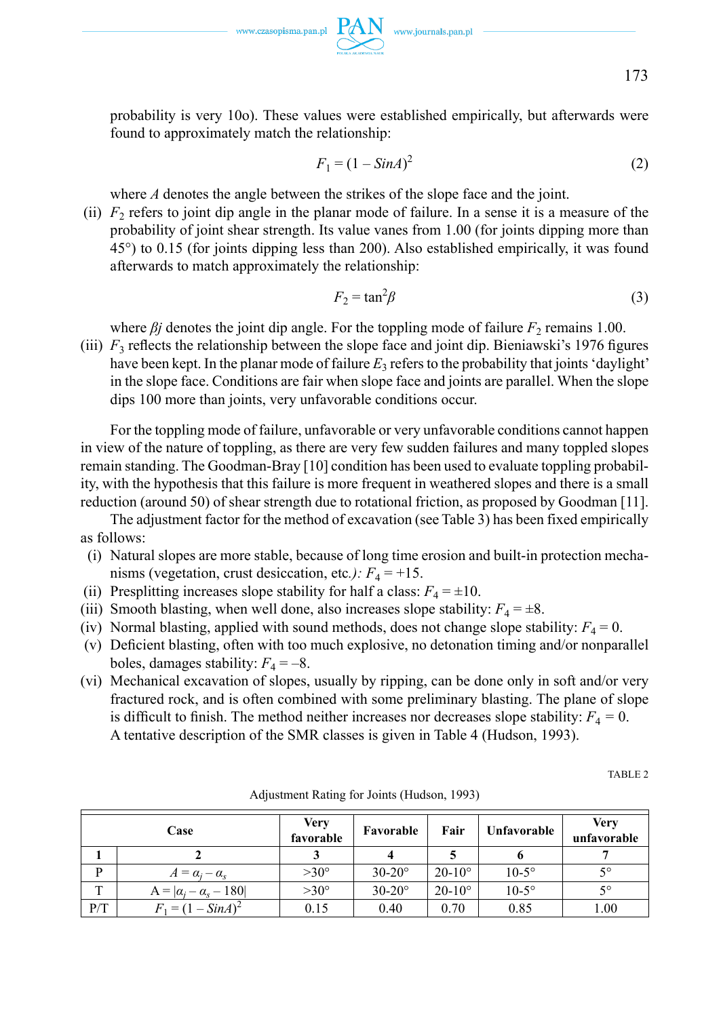www.czasopisma.pan.pl  $PAN$  www.journals.pan.pl



probability is very 10o). These values were established empirically, but afterwards were found to approximately match the relationship:

$$
F_1 = (1 - \text{Sin}A)^2 \tag{2}
$$

where *A* denotes the angle between the strikes of the slope face and the joint.

(ii)  $F<sub>2</sub>$  refers to joint dip angle in the planar mode of failure. In a sense it is a measure of the probability of joint shear strength. Its value vanes from 1.00 (for joints dipping more than 45°) to 0.15 (for joints dipping less than 200). Also established empirically, it was found afterwards to match approximately the relationship:

$$
F_2 = \tan^2 \beta \tag{3}
$$

where  $\beta$ *j* denotes the joint dip angle. For the toppling mode of failure  $F_2$  remains 1.00.

(iii)  $F_3$  reflects the relationship between the slope face and joint dip. Bieniawski's 1976 figures have been kept. In the planar mode of failure  $E_3$  refers to the probability that joints 'daylight' in the slope face. Conditions are fair when slope face and joints are parallel. When the slope dips 100 more than joints, very unfavorable conditions occur.

For the toppling mode of failure, unfavorable or very unfavorable conditions cannot happen in view of the nature of toppling, as there are very few sudden failures and many toppled slopes remain standing. The Goodman-Bray [10] condition has been used to evaluate toppling probability, with the hypothesis that this failure is more frequent in weathered slopes and there is a small reduction (around 50) of shear strength due to rotational friction, as proposed by Goodman [11].

The adjustment factor for the method of excavation (see Table 3) has been fixed empirically as follows:

- (i) Natural slopes are more stable, because of long time erosion and built-in protection mechanisms (vegetation, crust desiccation, etc.):  $F_4 = +15$ .
- (ii) Presplitting increases slope stability for half a class:  $F_4 = \pm 10$ .
- (iii) Smooth blasting, when well done, also increases slope stability:  $F_4 = \pm 8$ .
- (iv) Normal blasting, applied with sound methods, does not change slope stability:  $F_4 = 0$ .
- (v) Deficient blasting, often with too much explosive, no detonation timing and/or nonparallel boles, damages stability:  $F_4 = -8$ .
- (vi) Mechanical excavation of slopes, usually by ripping, can be done only in soft and/or very fractured rock, and is often combined with some preliminary blasting. The plane of slope is difficult to finish. The method neither increases nor decreases slope stability:  $F_4 = 0$ . A tentative description of the SMR classes is given in Table 4 (Hudson, 1993).

TABLE 2

|     | Case                              | Very<br>favorable | Favorable     | Fair          | Unfavorable  | <b>Very</b><br>unfavorable |
|-----|-----------------------------------|-------------------|---------------|---------------|--------------|----------------------------|
|     |                                   |                   |               |               |              |                            |
| D   | $A = \alpha_i - \alpha_s$         | $>30^{\circ}$     | $30-20^\circ$ | $20-10^\circ$ | $10-5^\circ$ | 50                         |
| m   | $A =  \alpha_i - \alpha_s - 180 $ | $>30^{\circ}$     | $30-20^\circ$ | $20-10^\circ$ | $10-5^\circ$ | 50                         |
| P/T | $F_1 = (1 - SinA)^2$              | 0.15              | 0.40          | 0.70          | 0.85         | 1.00                       |

Adjustment Rating for Joints (Hudson, 1993)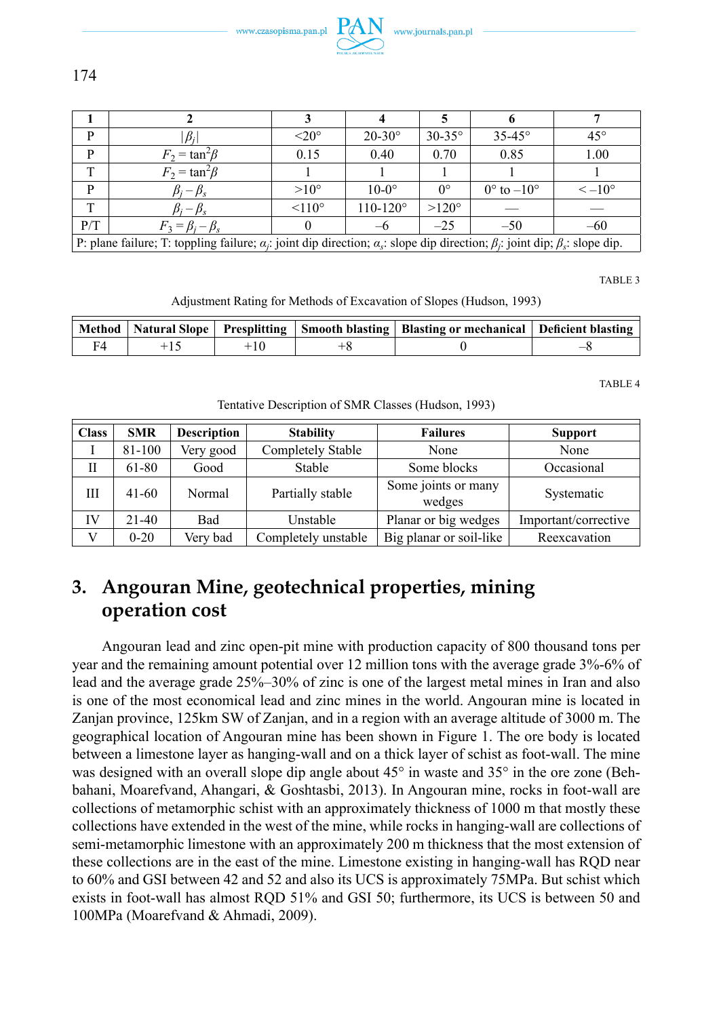www.czasopisma.pan.pl

| P            | $ \beta_i $                                                                                                                                              | $\leq 20^{\circ}$ | $20-30^\circ$       | $30-35^\circ$ | $35-45^\circ$                | $45^{\circ}$       |
|--------------|----------------------------------------------------------------------------------------------------------------------------------------------------------|-------------------|---------------------|---------------|------------------------------|--------------------|
| D            | $F_2 = \tan^2\beta$                                                                                                                                      | 0.15              | 0.40                | 0.70          | 0.85                         | 1.00               |
| ŦР           | $F_2 = \tan^2\!\beta$                                                                                                                                    |                   |                     |               |                              |                    |
| P            | $\beta_i - \beta_s$                                                                                                                                      | $>10^{\circ}$     | $10-0^\circ$        | $0^{\circ}$   | $0^{\circ}$ to $-10^{\circ}$ | $\leq -10^{\circ}$ |
| $\mathbf{T}$ | $\beta_i - \beta_s$                                                                                                                                      | $\leq 110^\circ$  | $110 - 120^{\circ}$ | $>120^\circ$  |                              |                    |
| P/T          | $F_3 = \beta_i - \beta_s$                                                                                                                                |                   |                     | $-25$         | $-50$                        | $-60$              |
|              | P: plane failure; T: toppling failure; $\alpha_i$ : joint dip direction; $\alpha_s$ : slope dip direction; $\beta_i$ : joint dip; $\beta_s$ : slope dip. |                   |                     |               |                              |                    |

TABLE 3

Adjustment Rating for Methods of Excavation of Slopes (Hudson, 1993)

|  |  | Method   Natural Slope   Presplitting   Smooth blasting   Blasting or mechanical   Deficient blasting |  |
|--|--|-------------------------------------------------------------------------------------------------------|--|
|  |  |                                                                                                       |  |

TABLE 4

Tentative Description of SMR Classes (Hudson, 1993)

| <b>Class</b> | <b>SMR</b> | <b>Description</b> | <b>Stability</b>    | <b>Failures</b>               | <b>Support</b>       |
|--------------|------------|--------------------|---------------------|-------------------------------|----------------------|
|              | 81-100     | Very good          | Completely Stable   | None                          | None                 |
| Н            | 61-80      | Good               | Stable              | Some blocks                   | Occasional           |
| Ш            | $41 - 60$  | Normal             | Partially stable    | Some joints or many<br>wedges | Systematic           |
| IV           | $21 - 40$  | <b>Bad</b>         | Unstable            | Planar or big wedges          | Important/corrective |
| V            | $0 - 20$   | Very bad           | Completely unstable | Big planar or soil-like       | Reexcavation         |

# **3. Angouran Mine, geotechnical properties, mining operation cost**

Angouran lead and zinc open-pit mine with production capacity of 800 thousand tons per year and the remaining amount potential over 12 million tons with the average grade 3%-6% of lead and the average grade 25%–30% of zinc is one of the largest metal mines in Iran and also is one of the most economical lead and zinc mines in the world. Angouran mine is located in Zanjan province, 125km SW of Zanjan, and in a region with an average altitude of 3000 m. The geographical location of Angouran mine has been shown in Figure 1. The ore body is located between a limestone layer as hanging-wall and on a thick layer of schist as foot-wall. The mine was designed with an overall slope dip angle about 45<sup>°</sup> in waste and 35<sup>°</sup> in the ore zone (Behbahani, Moarefvand, Ahangari, & Goshtasbi, 2013). In Angouran mine, rocks in foot-wall are collections of metamorphic schist with an approximately thickness of 1000 m that mostly these collections have extended in the west of the mine, while rocks in hanging-wall are collections of semi-metamorphic limestone with an approximately 200 m thickness that the most extension of these collections are in the east of the mine. Limestone existing in hanging-wall has RQD near to 60% and GSI between 42 and 52 and also its UCS is approximately 75MPa. But schist which exists in foot-wall has almost RQD 51% and GSI 50; furthermore, its UCS is between 50 and 100MPa (Moarefvand & Ahmadi, 2009).

174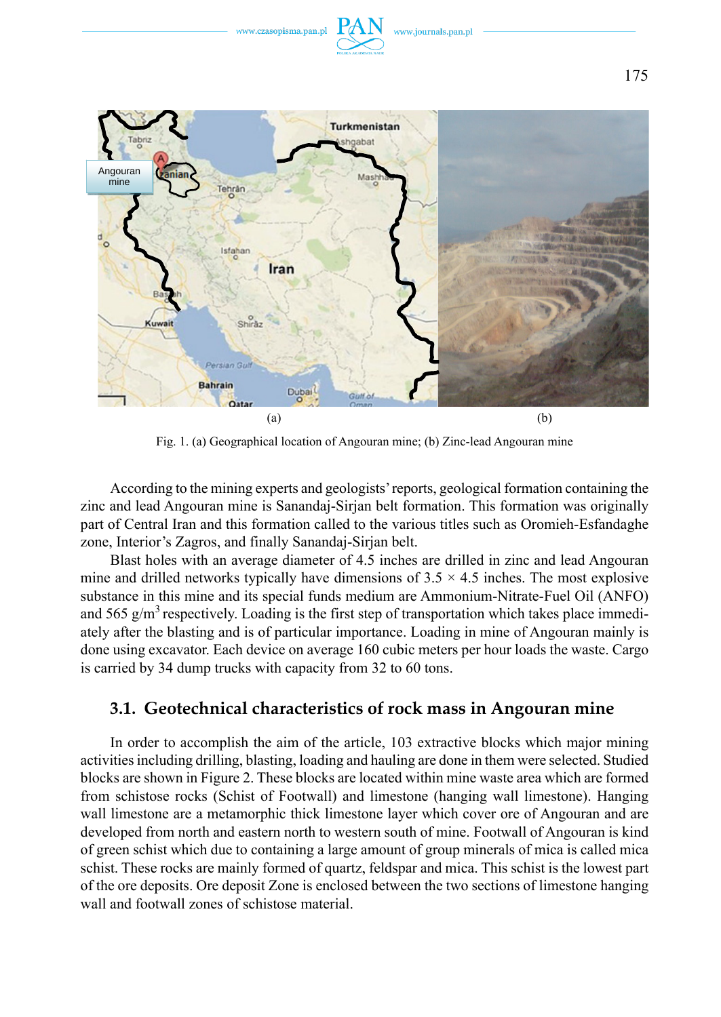

Fig. 1. (a) Geographical location of Angouran mine; (b) Zinc-lead Angouran mine

According to the mining experts and geologists' reports, geological formation containing the zinc and lead Angouran mine is Sanandaj-Sirjan belt formation. This formation was originally part of Central Iran and this formation called to the various titles such as Oromieh-Esfandaghe zone, Interior's Zagros, and finally Sanandaj-Sirjan belt.

Blast holes with an average diameter of 4.5 inches are drilled in zinc and lead Angouran mine and drilled networks typically have dimensions of  $3.5 \times 4.5$  inches. The most explosive substance in this mine and its special funds medium are Ammonium-Nitrate-Fuel Oil (ANFO) and 565  $g/m<sup>3</sup>$  respectively. Loading is the first step of transportation which takes place immediately after the blasting and is of particular importance. Loading in mine of Angouran mainly is done using excavator. Each device on average 160 cubic meters per hour loads the waste. Cargo is carried by 34 dump trucks with capacity from 32 to 60 tons.

### **3.1. Geotechnical characteristics of rock mass in Angouran mine**

In order to accomplish the aim of the article, 103 extractive blocks which major mining activities including drilling, blasting, loading and hauling are done in them were selected. Studied blocks are shown in Figure 2. These blocks are located within mine waste area which are formed from schistose rocks (Schist of Footwall) and limestone (hanging wall limestone). Hanging wall limestone are a metamorphic thick limestone layer which cover ore of Angouran and are developed from north and eastern north to western south of mine. Footwall of Angouran is kind of green schist which due to containing a large amount of group minerals of mica is called mica schist. These rocks are mainly formed of quartz, feldspar and mica. This schist is the lowest part of the ore deposits. Ore deposit Zone is enclosed between the two sections of limestone hanging wall and footwall zones of schistose material.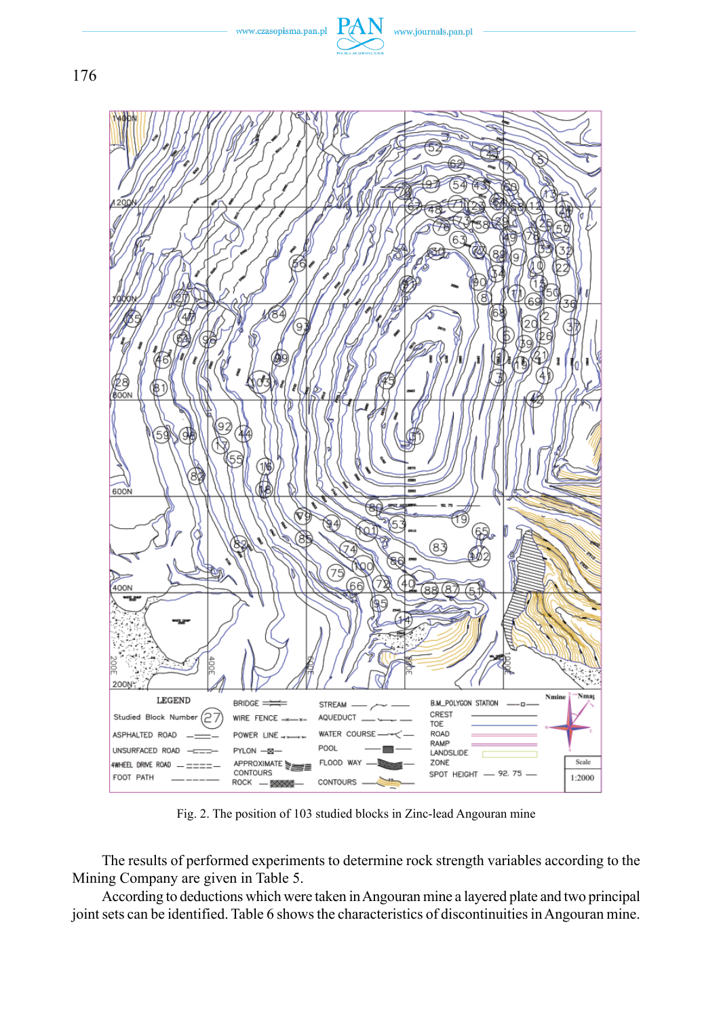

www.czasopisma.pan.pl

www.journals.pan.pl

Fig. 2 . The position of 103 studied blocks in Zinc-lead Angouran mine

The results of performed experiments to determine rock strength variables according to the Mining Company are given in Table 5.

According to deductions which were taken in Angouran mine a layered plate and two principal joint sets can be identified. Table 6 shows the characteristics of discontinuities in Angouran mine.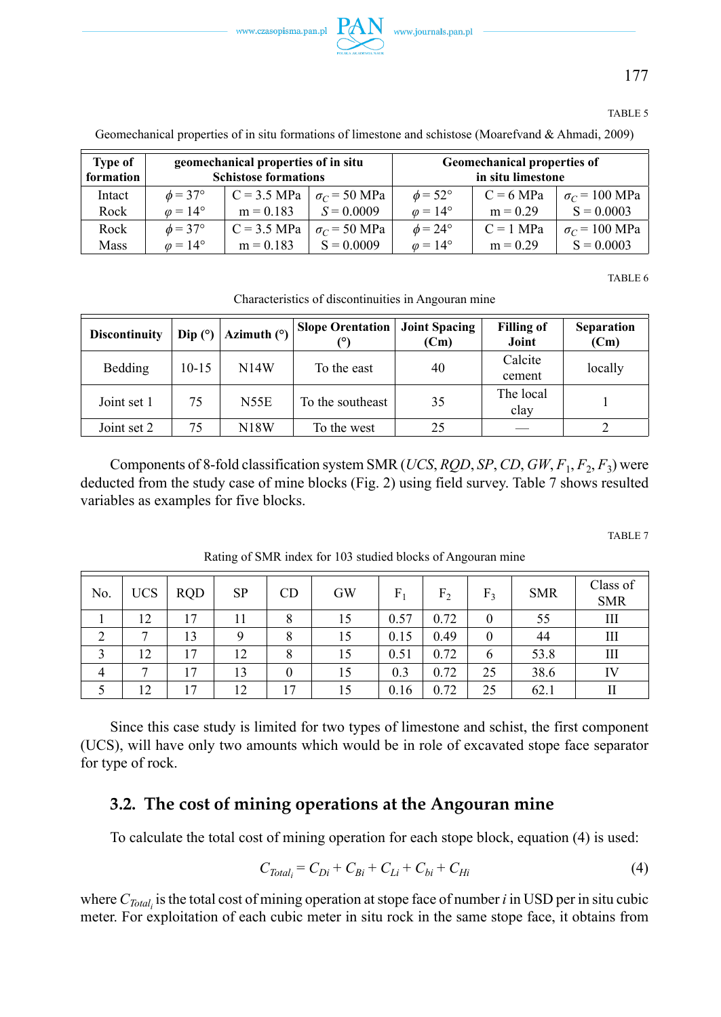

177

#### TABLE 5

| <b>Type of</b><br>formation |                       | geomechanical properties of in situ<br><b>Schistose formations</b> |                     | Geomechanical properties of<br>in situ limestone |             |                      |  |  |
|-----------------------------|-----------------------|--------------------------------------------------------------------|---------------------|--------------------------------------------------|-------------|----------------------|--|--|
| Intact                      | $\phi = 37^{\circ}$   | $C = 3.5$ MPa                                                      | $\sigma_C$ = 50 MPa | $\phi = 52^{\circ}$                              | $C = 6 MPa$ | $\sigma_C$ = 100 MPa |  |  |
| Rock                        | $\omega = 14^{\circ}$ | $m = 0.183$                                                        | $S = 0.0009$        | $\varphi = 14^{\circ}$                           | $m = 0.29$  | $S = 0.0003$         |  |  |
| Rock                        | $\phi = 37^{\circ}$   | $C = 3.5$ MPa                                                      | $\sigma_C$ = 50 MPa | $\phi = 24^{\circ}$                              | $C = 1$ MPa | $\sigma_C$ = 100 MPa |  |  |
| Mass                        | $\omega = 14^{\circ}$ | $m = 0.183$                                                        | $S = 0.0009$        | $\omega = 14^{\circ}$                            | $m = 0.29$  | $S = 0.0003$         |  |  |

Geomechanical properties of in situ formations of limestone and schistose (Moarefvand & Ahmadi, 2009)

TABLE 6

| Characteristics of discontinuities in Angouran mine |  |  |
|-----------------------------------------------------|--|--|
|                                                     |  |  |

| <b>Discontinuity</b> | Dip $(°)$ | Azimuth $(°)$ | <b>Slope Orentation</b> | <b>Joint Spacing</b><br>(Cm) | <b>Filling of</b><br>Joint | <b>Separation</b><br>(Cm) |
|----------------------|-----------|---------------|-------------------------|------------------------------|----------------------------|---------------------------|
| Bedding              | $10 - 15$ | <b>N14W</b>   | To the east             | 40                           | Calcite<br>cement          | locally                   |
| Joint set 1          | 75        | <b>N55E</b>   | To the southeast        | 35                           | The local<br>clay          |                           |
| Joint set 2          | 75        | <b>N18W</b>   | To the west             | 25                           |                            |                           |

Components of 8-fold classification system SMR (*UCS*, *RQD*, *SP*, *CD*, *GW*, *F*1, *F*2, *F*3) were deducted from the study case of mine blocks (Fig. 2) using field survey. Table 7 shows resulted variables as examples for five blocks.

TABLE 7

| No.            | <b>UCS</b> | <b>RQD</b> | SP | CD       | GW | F.   | F <sub>2</sub> | F <sub>3</sub> | <b>SMR</b> | Class of<br><b>SMR</b> |
|----------------|------------|------------|----|----------|----|------|----------------|----------------|------------|------------------------|
|                | 12         | 17         |    | 8        | 15 | 0.57 | 0.72           | 0              | 55         | Ш                      |
| っ              | ⇁          | 13         |    | 8        | 15 | 0.15 | 0.49           | 0              | 44         | Ш                      |
|                | 12         | 17         | 12 | 8        | 15 | 0.51 | 0.72           | 6              | 53.8       | Ш                      |
| $\overline{4}$ | −          | 17         | 13 | $\theta$ | 15 | 0.3  | 0.72           | 25             | 38.6       | IV                     |
|                | 12         | 17         | 12 | 17       | 15 | 0.16 | 0.72           | 25             | 62.1       | П                      |

Rating of SMR index for 103 studied blocks of Angouran mine

Since this case study is limited for two types of limestone and schist, the first component (UCS), will have only two amounts which would be in role of excavated stope face separator for type of rock.

### **3.2. The cost of mining operations at the Angouran mine**

To calculate the total cost of mining operation for each stope block, equation (4) is used:

$$
C_{Total_i} = C_{Di} + C_{Bi} + C_{Li} + C_{bi} + C_{Hi}
$$
\n(4)

where  $C_{Total_i}$  is the total cost of mining operation at stope face of number *i* in USD per in situ cubic meter. For exploitation of each cubic meter in situ rock in the same stope face, it obtains from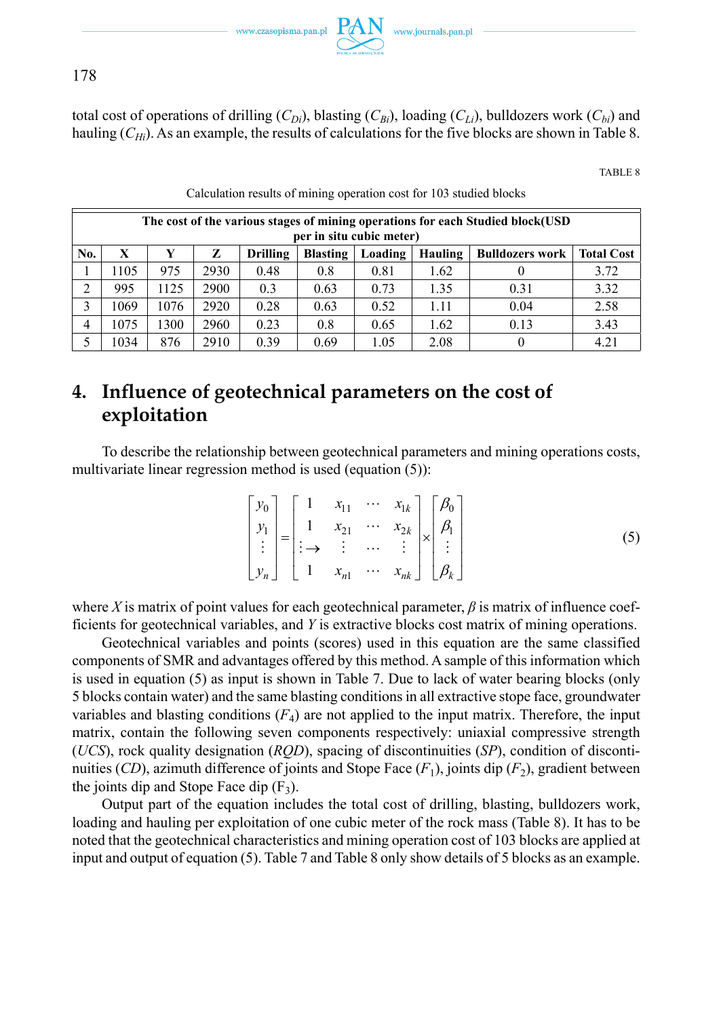

178

total cost of operations of drilling  $(C_{Di})$ , blasting  $(C_{Bi})$ , loading  $(C_{Li})$ , bulldozers work  $(C_{bi})$  and hauling (*C<sub>Hi</sub>*). As an example, the results of calculations for the five blocks are shown in Table 8.

TABLE 8

|     | The cost of the various stages of mining operations for each Studied block(USD)<br>per in situ cubic meter)       |      |      |      |      |      |      |      |      |  |  |
|-----|-------------------------------------------------------------------------------------------------------------------|------|------|------|------|------|------|------|------|--|--|
| No. | <b>Total Cost</b><br>X<br>z<br><b>Blasting</b><br>Loading<br><b>Drilling</b><br>Hauling<br><b>Bulldozers work</b> |      |      |      |      |      |      |      |      |  |  |
|     | 1105                                                                                                              | 975  | 2930 | 0.48 | 0.8  | 0.81 | 1.62 |      | 3.72 |  |  |
| C   | 995                                                                                                               | 1125 | 2900 | 0.3  | 0.63 | 0.73 | 1.35 | 0.31 | 3.32 |  |  |
| 3   | 1069                                                                                                              | 1076 | 2920 | 0.28 | 0.63 | 0.52 | 1.11 | 0.04 | 2.58 |  |  |
| 4   | 1075                                                                                                              | 1300 | 2960 | 0.23 | 0.8  | 0.65 | 1.62 | 0.13 | 3.43 |  |  |
|     | 1034                                                                                                              | 876  | 2910 | 0.39 | 0.69 | 1.05 | 2.08 |      | 4.21 |  |  |

#### Calculation results of mining operation cost for 103 studied blocks

# **4. Influence of geotechnical parameters on the cost of exploitation**

To describe the relationship between geotechnical parameters and mining operations costs, multivariate linear regression method is used (equation (5)):

$$
\begin{bmatrix} y_0 \\ y_1 \\ \vdots \\ y_n \end{bmatrix} = \begin{bmatrix} 1 & x_{11} & \cdots & x_{1k} \\ 1 & x_{21} & \cdots & x_{2k} \\ \vdots & \vdots & \cdots & \vdots \\ 1 & x_{n1} & \cdots & x_{nk} \end{bmatrix} \times \begin{bmatrix} \beta_0 \\ \beta_1 \\ \vdots \\ \beta_k \end{bmatrix}
$$
 (5)

where *X* is matrix of point values for each geotechnical parameter,  $\beta$  is matrix of influence coefficients for geotechnical variables, and *Y* is extractive blocks cost matrix of mining operations.

Geotechnical variables and points (scores) used in this equation are the same classified components of SMR and advantages offered by this method. A sample of this information which is used in equation (5) as input is shown in Table 7. Due to lack of water bearing blocks (only 5 blocks contain water) and the same blasting conditions in all extractive stope face, groundwater variables and blasting conditions  $(F_4)$  are not applied to the input matrix. Therefore, the input matrix, contain the following seven components respectively: uniaxial compressive strength (*UCS*), rock quality designation (*RQD*), spacing of discontinuities (*SP*), condition of discontinuities (*CD*), azimuth difference of joints and Stope Face  $(F_1)$ , joints dip  $(F_2)$ , gradient between the joints dip and Stope Face dip  $(F_3)$ .

Output part of the equation includes the total cost of drilling, blasting, bulldozers work, loading and hauling per exploitation of one cubic meter of the rock mass (Table 8). It has to be noted that the geotechnical characteristics and mining operation cost of 103 blocks are applied at input and output of equation (5). Table 7 and Table 8 only show details of 5 blocks as an example.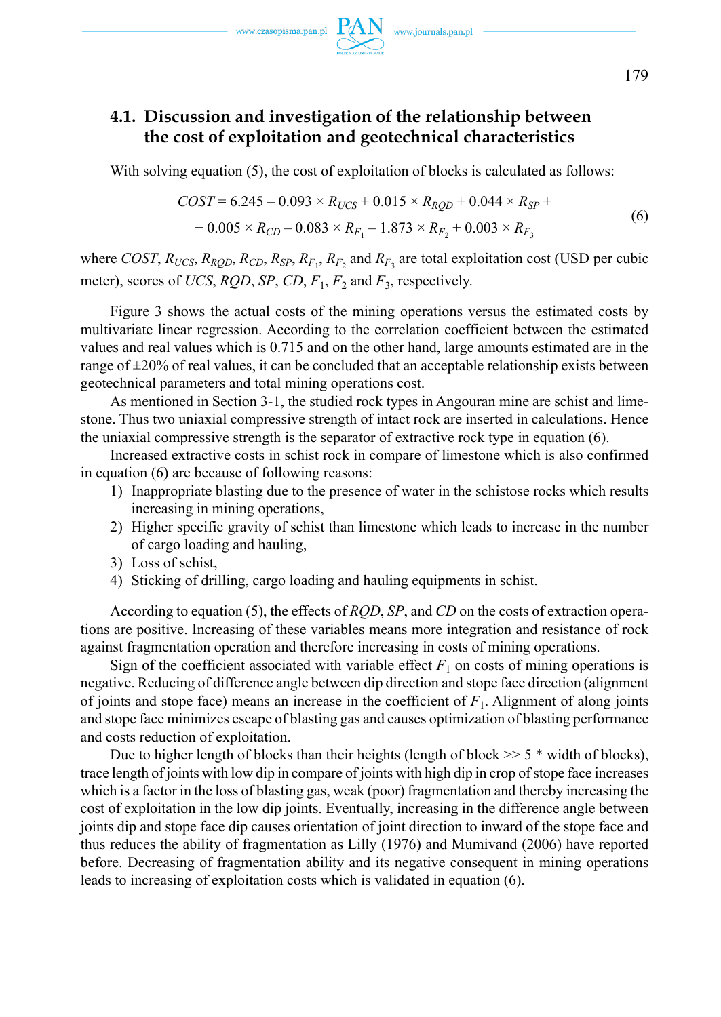## **4.1. Discussion and investigation of the relationship between the cost of exploitation and geotechnical characteristics**

With solving equation (5), the cost of exploitation of blocks is calculated as follows:

$$
COST = 6.245 - 0.093 \times R_{UCS} + 0.015 \times R_{RQD} + 0.044 \times R_{SP} ++ 0.005 \times R_{CD} - 0.083 \times R_{F_1} - 1.873 \times R_{F_2} + 0.003 \times R_{F_3}
$$
 (6)

where *COST*,  $R_{UCS}$ ,  $R_{RQD}$ ,  $R_{CD}$ ,  $R_{SP}$ ,  $R_{F_1}$ ,  $R_{F_2}$  and  $R_{F_3}$  are total exploitation cost (USD per cubic meter), scores of *UCS*, *RQD*, *SP*, *CD*, *F*1, *F*2 and *F*3, respectively.

Figure 3 shows the actual costs of the mining operations versus the estimated costs by multivariate linear regression. According to the correlation coefficient between the estimated values and real values which is 0.715 and on the other hand, large amounts estimated are in the range of  $\pm 20\%$  of real values, it can be concluded that an acceptable relationship exists between geotechnical parameters and total mining operations cost.

As mentioned in Section 3-1, the studied rock types in Angouran mine are schist and limestone. Thus two uniaxial compressive strength of intact rock are inserted in calculations. Hence the uniaxial compressive strength is the separator of extractive rock type in equation (6).

Increased extractive costs in schist rock in compare of limestone which is also confirmed in equation (6) are because of following reasons:

- 1) Inappropriate blasting due to the presence of water in the schistose rocks which results increasing in mining operations,
- 2) Higher specific gravity of schist than limestone which leads to increase in the number of cargo loading and hauling,
- 3) Loss of schist,
- 4) Sticking of drilling, cargo loading and hauling equipments in schist.

According to equation (5), the effects of *RQD*, *SP*, and *CD* on the costs of extraction operations are positive. Increasing of these variables means more integration and resistance of rock against fragmentation operation and therefore increasing in costs of mining operations.

Sign of the coefficient associated with variable effect  $F_1$  on costs of mining operations is negative. Reducing of difference angle between dip direction and stope face direction (alignment of joints and stope face) means an increase in the coefficient of *F*1. Alignment of along joints and stope face minimizes escape of blasting gas and causes optimization of blasting performance and costs reduction of exploitation.

Due to higher length of blocks than their heights (length of block  $\geq$  5  $*$  width of blocks), trace length of joints with low dip in compare of joints with high dip in crop of stope face increases which is a factor in the loss of blasting gas, weak (poor) fragmentation and thereby increasing the cost of exploitation in the low dip joints. Eventually, increasing in the difference angle between joints dip and stope face dip causes orientation of joint direction to inward of the stope face and thus reduces the ability of fragmentation as Lilly (1976) and Mumivand (2006) have reported before. Decreasing of fragmentation ability and its negative consequent in mining operations leads to increasing of exploitation costs which is validated in equation (6).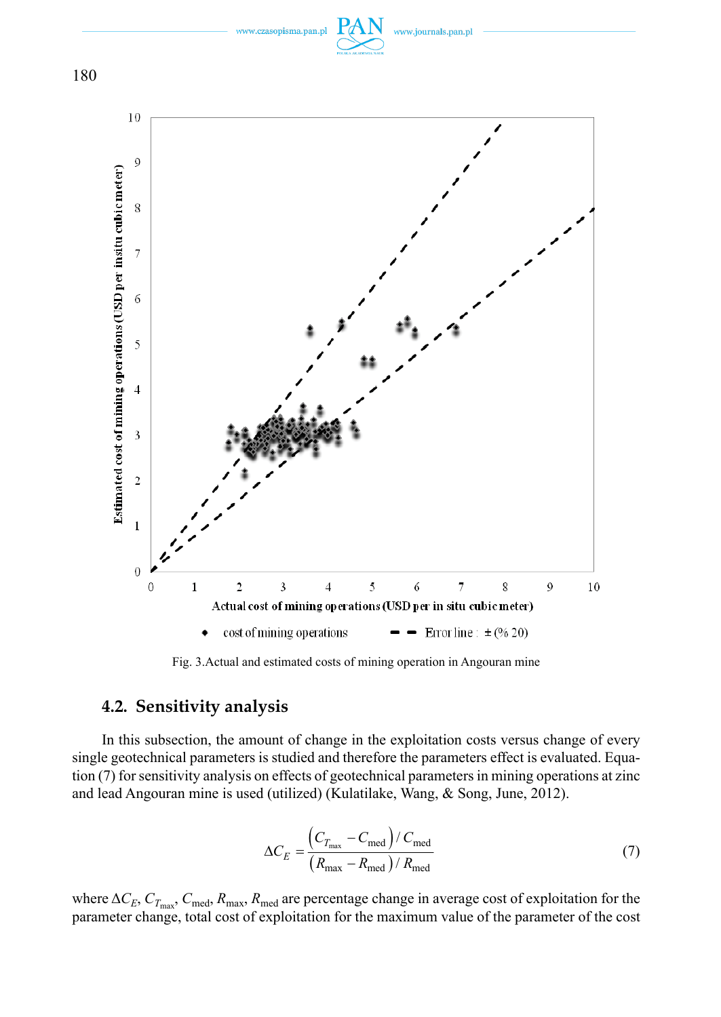

Fig. 3.Actual and estimated costs of mining operation in Angouran mine

### **4.2. Sensitivity analysis**

In this subsection, the amount of change in the exploitation costs versus change of every single geotechnical parameters is studied and therefore the parameters effect is evaluated. Equation (7) for sensitivity analysis on effects of geotechnical parameters in mining operations at zinc and lead Angouran mine is used (utilized) (Kulatilake, Wang, & Song, June, 2012).

$$
\Delta C_E = \frac{\left(C_{T_{\text{max}}} - C_{\text{med}}\right) / C_{\text{med}}}{\left(R_{\text{max}} - R_{\text{med}}\right) / R_{\text{med}}}
$$
\n(7)

where  $\Delta C_E$ ,  $C_{T_{\text{max}}}$ ,  $C_{\text{med}}$ ,  $R_{\text{max}}$ ,  $R_{\text{med}}$  are percentage change in average cost of exploitation for the parameter change, total cost of exploitation for the maximum value of the parameter of the cost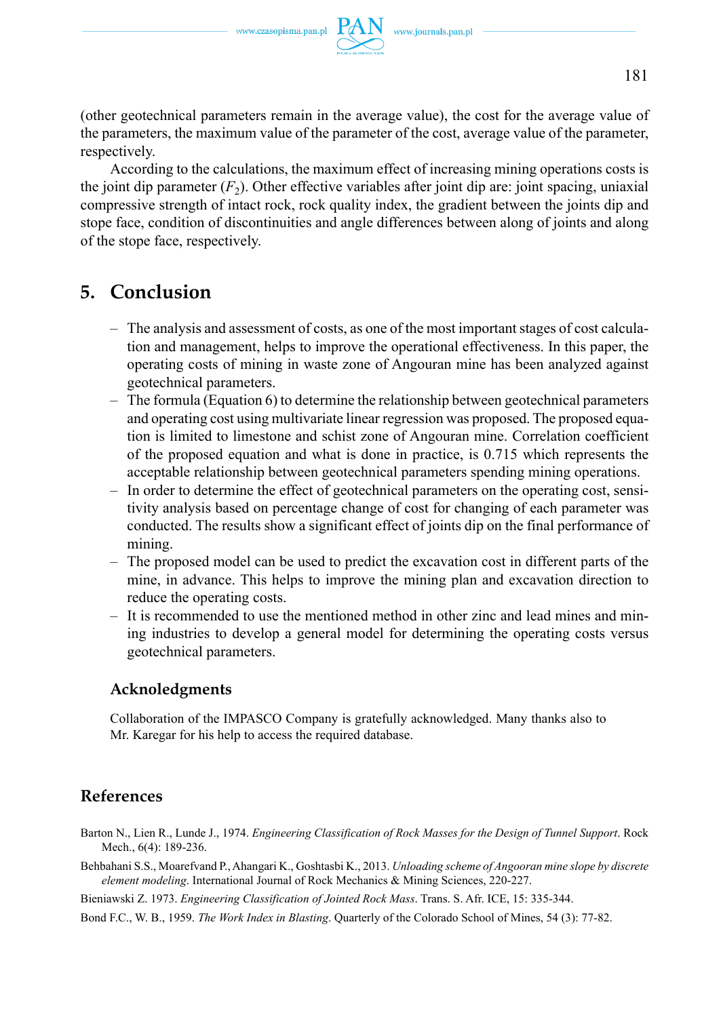(other geotechnical parameters remain in the average value), the cost for the average value of the parameters, the maximum value of the parameter of the cost, average value of the parameter, respectively.

According to the calculations, the maximum effect of increasing mining operations costs is the joint dip parameter  $(F_2)$ . Other effective variables after joint dip are: joint spacing, uniaxial compressive strength of intact rock, rock quality index, the gradient between the joints dip and stope face, condition of discontinuities and angle differences between along of joints and along of the stope face, respectively.

## **5. Conclusion**

- The analysis and assessment of costs, as one of the most important stages of cost calculation and management, helps to improve the operational effectiveness. In this paper, the operating costs of mining in waste zone of Angouran mine has been analyzed against geotechnical parameters.
- The formula (Equation 6) to determine the relationship between geotechnical parameters and operating cost using multivariate linear regression was proposed. The proposed equation is limited to limestone and schist zone of Angouran mine. Correlation coefficient of the proposed equation and what is done in practice, is 0.715 which represents the acceptable relationship between geotechnical parameters spending mining operations.
- In order to determine the effect of geotechnical parameters on the operating cost, sensitivity analysis based on percentage change of cost for changing of each parameter was conducted. The results show a significant effect of joints dip on the final performance of mining.
- The proposed model can be used to predict the excavation cost in different parts of the mine, in advance. This helps to improve the mining plan and excavation direction to reduce the operating costs.
- It is recommended to use the mentioned method in other zinc and lead mines and mining industries to develop a general model for determining the operating costs versus geotechnical parameters.

### **Acknoledgments**

Collaboration of the IMPASCO Company is gratefully acknowledged. Many thanks also to Mr. Karegar for his help to access the required database.

## **References**

- Barton N., Lien R., Lunde J., 1974. *Engineering Classification of Rock Masses for the Design of Tunnel Support*. Rock Mech., 6(4): 189-236.
- Behbahani S.S., Moarefvand P., Ahangari K., Goshtasbi K., 2013. *Unloading scheme of Angooran mine slope by discrete element modeling*. International Journal of Rock Mechanics & Mining Sciences, 220-227.
- Bieniawski Z. 1973. *Engineering Classification of Jointed Rock Mass*. Trans. S. Afr. ICE, 15: 335-344.
- Bond F.C., W. B., 1959. *The Work Index in Blasting*. Quarterly of the Colorado School of Mines, 54 (3): 77-82.